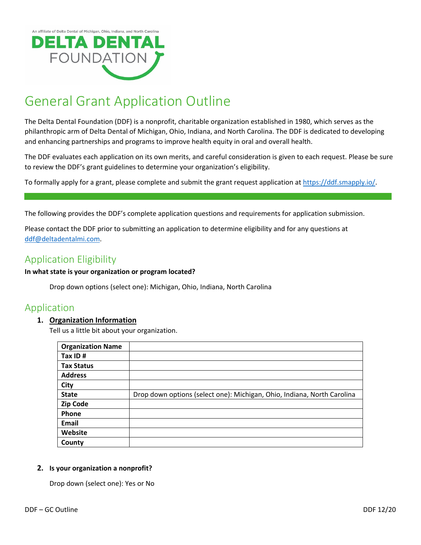

# General Grant Application Outline

The Delta Dental Foundation (DDF) is a nonprofit, charitable organization established in 1980, which serves as the philanthropic arm of Delta Dental of Michigan, Ohio, Indiana, and North Carolina. The DDF is dedicated to developing and enhancing partnerships and programs to improve health equity in oral and overall health.

The DDF evaluates each application on its own merits, and careful consideration is given to each request. Please be sure to review the DDF's grant guidelines to determine your organization's eligibility.

To formally apply for a grant, please complete and submit the grant request application at [https://ddf.smapply.io/.](https://ddf.smapply.io/prog/general_grant_request)

The following provides the DDF's complete application questions and requirements for application submission.

Please contact the DDF prior to submitting an application to determine eligibility and for any questions at [ddf@deltadentalmi.com.](mailto:ddf@deltadentalmi.com)

# Application Eligibility

#### **In what state is your organization or program located?**

Drop down options (select one): Michigan, Ohio, Indiana, North Carolina

### Application

#### **1. Organization Information**

Tell us a little bit about your organization.

| <b>Organization Name</b> |                                                                         |  |
|--------------------------|-------------------------------------------------------------------------|--|
| Tax ID#                  |                                                                         |  |
| <b>Tax Status</b>        |                                                                         |  |
| <b>Address</b>           |                                                                         |  |
| City                     |                                                                         |  |
| <b>State</b>             | Drop down options (select one): Michigan, Ohio, Indiana, North Carolina |  |
| <b>Zip Code</b>          |                                                                         |  |
| Phone                    |                                                                         |  |
| Email                    |                                                                         |  |
| Website                  |                                                                         |  |
| County                   |                                                                         |  |

#### **2. Is your organization a nonprofit?**

Drop down (select one): Yes or No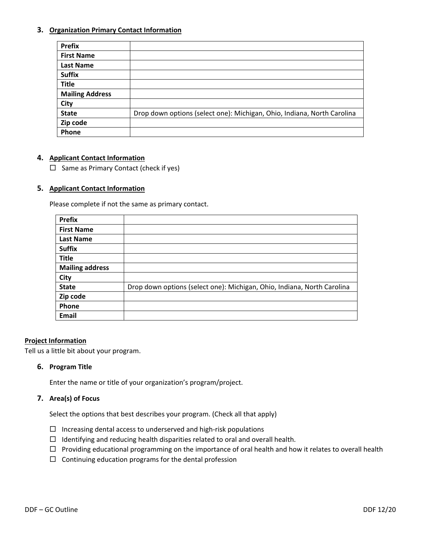#### **3. Organization Primary Contact Information**

| <b>Prefix</b>          |                                                                         |
|------------------------|-------------------------------------------------------------------------|
| <b>First Name</b>      |                                                                         |
| <b>Last Name</b>       |                                                                         |
| <b>Suffix</b>          |                                                                         |
| <b>Title</b>           |                                                                         |
| <b>Mailing Address</b> |                                                                         |
| City                   |                                                                         |
| <b>State</b>           | Drop down options (select one): Michigan, Ohio, Indiana, North Carolina |
| Zip code               |                                                                         |
| Phone                  |                                                                         |

#### **4. Applicant Contact Information**

 $\Box$  Same as Primary Contact (check if yes)

#### **5. Applicant Contact Information**

Please complete if not the same as primary contact.

| <b>Prefix</b>          |                                                                         |
|------------------------|-------------------------------------------------------------------------|
| <b>First Name</b>      |                                                                         |
| <b>Last Name</b>       |                                                                         |
| <b>Suffix</b>          |                                                                         |
| <b>Title</b>           |                                                                         |
| <b>Mailing address</b> |                                                                         |
| City                   |                                                                         |
| <b>State</b>           | Drop down options (select one): Michigan, Ohio, Indiana, North Carolina |
| Zip code               |                                                                         |
| Phone                  |                                                                         |
| Email                  |                                                                         |

#### **Project Information**

Tell us a little bit about your program.

#### **6. Program Title**

Enter the name or title of your organization's program/project.

#### **7. Area(s) of Focus**

Select the options that best describes your program. (Check all that apply)

- $\Box$  Increasing dental access to underserved and high-risk populations
- $\Box$  Identifying and reducing health disparities related to oral and overall health.
- $\Box$  Providing educational programming on the importance of oral health and how it relates to overall health
- $\Box$  Continuing education programs for the dental profession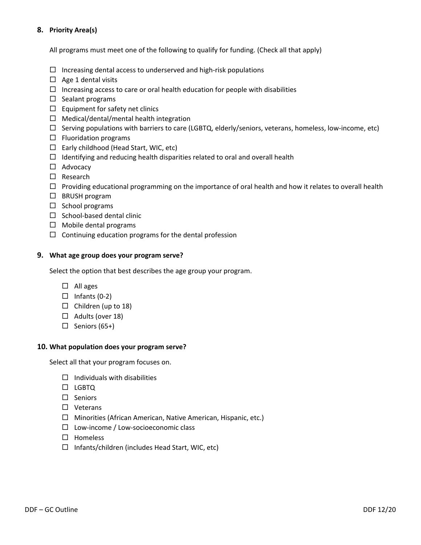#### **8. Priority Area(s)**

All programs must meet one of the following to qualify for funding. (Check all that apply)

- $\Box$  Increasing dental access to underserved and high-risk populations
- $\Box$  Age 1 dental visits
- $\Box$  Increasing access to care or oral health education for people with disabilities
- $\square$  Sealant programs
- $\square$  Equipment for safety net clinics
- $\Box$  Medical/dental/mental health integration
- $\Box$  Serving populations with barriers to care (LGBTQ, elderly/seniors, veterans, homeless, low-income, etc)
- $\Box$  Fluoridation programs
- $\Box$  Early childhood (Head Start, WIC, etc)
- $\Box$  Identifying and reducing health disparities related to oral and overall health
- □ Advocacy
- □ Research
- $\Box$  Providing educational programming on the importance of oral health and how it relates to overall health
- $\square$  BRUSH program
- $\square$  School programs
- $\square$  School-based dental clinic
- $\Box$  Mobile dental programs
- $\Box$  Continuing education programs for the dental profession

#### **9. What age group does your program serve?**

Select the option that best describes the age group your program.

- $\Box$  All ages
- $\Box$  Infants (0-2)
- $\Box$  Children (up to 18)
- $\Box$  Adults (over 18)
- $\Box$  Seniors (65+)

#### **10. What population does your program serve?**

Select all that your program focuses on.

- $\Box$  Individuals with disabilities
- $\Box$  LGBTO
- $\square$  Seniors
- □ Veterans
- Minorities (African American, Native American, Hispanic, etc.)
- $\square$  Low-income / Low-socioeconomic class
- $\square$  Homeless
- $\Box$  Infants/children (includes Head Start, WIC, etc)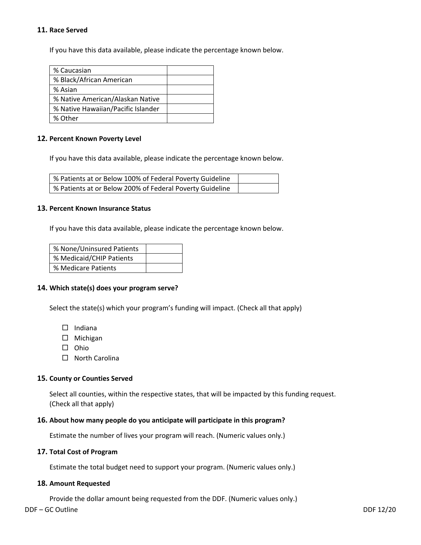#### **11. Race Served**

If you have this data available, please indicate the percentage known below.

| % Caucasian                        |  |
|------------------------------------|--|
| % Black/African American           |  |
| % Asian                            |  |
| % Native American/Alaskan Native   |  |
| % Native Hawaiian/Pacific Islander |  |
| % Other                            |  |

#### **12. Percent Known Poverty Level**

If you have this data available, please indicate the percentage known below.

| % Patients at or Below 100% of Federal Poverty Guideline |  |
|----------------------------------------------------------|--|
| % Patients at or Below 200% of Federal Poverty Guideline |  |

#### **13. Percent Known Insurance Status**

If you have this data available, please indicate the percentage known below.

| % None/Uninsured Patients |  |
|---------------------------|--|
| % Medicaid/CHIP Patients  |  |
| % Medicare Patients       |  |

#### **14. Which state(s) does your program serve?**

Select the state(s) which your program's funding will impact. (Check all that apply)

- $\square$  Indiana
- $\square$  Michigan
- $\square$  Ohio
- □ North Carolina

#### **15. County or Counties Served**

Select all counties, within the respective states, that will be impacted by this funding request. (Check all that apply)

#### **16. About how many people do you anticipate will participate in this program?**

Estimate the number of lives your program will reach. (Numeric values only.)

#### **17. Total Cost of Program**

Estimate the total budget need to support your program. (Numeric values only.)

#### **18. Amount Requested**

Provide the dollar amount being requested from the DDF. (Numeric values only.)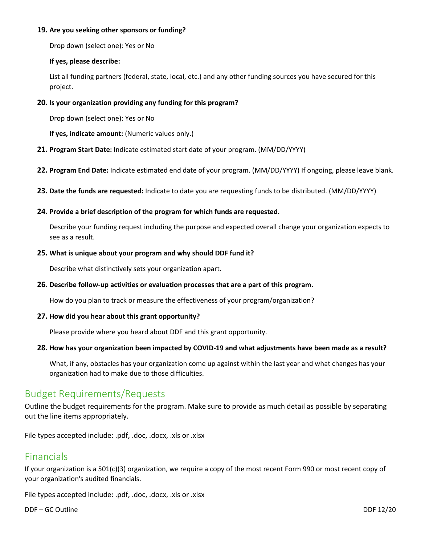#### **19. Are you seeking other sponsors or funding?**

Drop down (select one): Yes or No

#### **If yes, please describe:**

List all funding partners (federal, state, local, etc.) and any other funding sources you have secured for this project.

#### **20. Is your organization providing any funding for this program?**

Drop down (select one): Yes or No

**If yes, indicate amount:** (Numeric values only.)

- **21. Program Start Date:** Indicate estimated start date of your program. (MM/DD/YYYY)
- **22. Program End Date:** Indicate estimated end date of your program. (MM/DD/YYYY) If ongoing, please leave blank.
- **23. Date the funds are requested:** Indicate to date you are requesting funds to be distributed. (MM/DD/YYYY)

#### **24. Provide a brief description of the program for which funds are requested.**

Describe your funding request including the purpose and expected overall change your organization expects to see as a result.

#### **25. What is unique about your program and why should DDF fund it?**

Describe what distinctively sets your organization apart.

#### **26. Describe follow-up activities or evaluation processes that are a part of this program.**

How do you plan to track or measure the effectiveness of your program/organization?

#### **27. How did you hear about this grant opportunity?**

Please provide where you heard about DDF and this grant opportunity.

#### **28. How has your organization been impacted by COVID-19 and what adjustments have been made as a result?**

What, if any, obstacles has your organization come up against within the last year and what changes has your organization had to make due to those difficulties.

### Budget Requirements/Requests

Outline the budget requirements for the program. Make sure to provide as much detail as possible by separating out the line items appropriately.

File types accepted include: .pdf, .doc, .docx, .xls or .xlsx

### Financials

If your organization is a 501(c)(3) organization, we require a copy of the most recent Form 990 or most recent copy of your organization's audited financials.

File types accepted include: .pdf, .doc, .docx, .xls or .xlsx